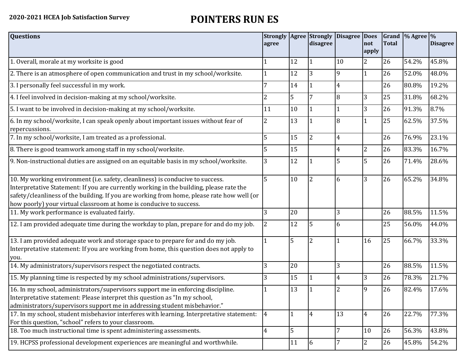## **2020-2021 HCEA Job Satisfaction Survey POINTERS RUN ES**

| <b>Questions</b>                                                                                                                                                                                                                                                                                                                               | agree          |              | disagree       | Strongly   Agree   Strongly   Disagree   Does | not            | <b>Total</b> | Grand $\frac{9}{6}$ Agree $\frac{9}{6}$ | <b>Disagree</b> |
|------------------------------------------------------------------------------------------------------------------------------------------------------------------------------------------------------------------------------------------------------------------------------------------------------------------------------------------------|----------------|--------------|----------------|-----------------------------------------------|----------------|--------------|-----------------------------------------|-----------------|
|                                                                                                                                                                                                                                                                                                                                                |                |              |                |                                               | apply          |              |                                         |                 |
| 1. Overall, morale at my worksite is good                                                                                                                                                                                                                                                                                                      |                | 12           |                | 10                                            | $\overline{2}$ | 26           | 54.2%                                   | 45.8%           |
| 2. There is an atmosphere of open communication and trust in my school/worksite.                                                                                                                                                                                                                                                               |                | 12           | 3              | 9                                             | $\mathbf{1}$   | 26           | 52.0%                                   | 48.0%           |
| 3. I personally feel successful in my work.                                                                                                                                                                                                                                                                                                    |                | 14           |                | 4                                             |                | 26           | 80.8%                                   | 19.2%           |
| 4. I feel involved in decision-making at my school/worksite.                                                                                                                                                                                                                                                                                   | 2              | 5            | 7              | 8                                             | 3              | 25           | 31.8%                                   | 68.2%           |
| 5. I want to be involved in decision-making at my school/worksite.                                                                                                                                                                                                                                                                             | 11             | 10           | 1              |                                               | 3              | 26           | 91.3%                                   | 8.7%            |
| 6. In my school/worksite, I can speak openly about important issues without fear of<br>repercussions.                                                                                                                                                                                                                                          | 2              | 13           |                | 8                                             |                | 25           | 62.5%                                   | 37.5%           |
| 7. In my school/worksite, I am treated as a professional.                                                                                                                                                                                                                                                                                      | 5              | 15           | $\overline{2}$ | 4                                             |                | 26           | 76.9%                                   | 23.1%           |
| 8. There is good teamwork among staff in my school/worksite.                                                                                                                                                                                                                                                                                   |                | 15           |                | 4                                             | 2              | 26           | 83.3%                                   | 16.7%           |
| 9. Non-instructional duties are assigned on an equitable basis in my school/worksite.                                                                                                                                                                                                                                                          | 3              | 12           |                | 5                                             | 5              | 26           | 71.4%                                   | 28.6%           |
| 10. My working environment (i.e. safety, cleanliness) is conducive to success.<br>Interpretative Statement: If you are currently working in the building, please rate the<br>safety/cleanliness of the building. If you are working from home, please rate how well (or<br>how poorly) your virtual classroom at home is conducive to success. | 5              | 10           | $\overline{2}$ | 6                                             | 3              | 26           | 65.2%                                   | 34.8%           |
| 11. My work performance is evaluated fairly.                                                                                                                                                                                                                                                                                                   | 3              | 20           |                | 3                                             |                | 26           | 88.5%                                   | 11.5%           |
| 12. I am provided adequate time during the workday to plan, prepare for and do my job.                                                                                                                                                                                                                                                         | 2              | 12           | 5              | 6                                             |                | 25           | 56.0%                                   | 44.0%           |
| 13. I am provided adequate work and storage space to prepare for and do my job.<br>Interpretative statement: If you are working from home, this question does not apply to<br>you.                                                                                                                                                             |                | 5            | $\overline{2}$ |                                               | 16             | 25           | 66.7%                                   | 33.3%           |
| 14. My administrators/supervisors respect the negotiated contracts.                                                                                                                                                                                                                                                                            | 3              | 20           |                | 3                                             |                | 26           | 88.5%                                   | 11.5%           |
| 15. My planning time is respected by my school administrations/supervisors.                                                                                                                                                                                                                                                                    | 3              | 15           | 1              | 4                                             | 3              | 26           | 78.3%                                   | 21.7%           |
| 16. In my school, administrators/supervisors support me in enforcing discipline.<br>Interpretative statement: Please interpret this question as "In my school,<br>administrators/supervisors support me in addressing student misbehavior."                                                                                                    |                | 13           |                |                                               | 9              | 26           | 82.4%                                   | 17.6%           |
| 17. In my school, student misbehavior interferes with learning. Interpretative statement:<br>For this question, "school" refers to your classroom.                                                                                                                                                                                             | $\overline{4}$ | $\mathbf{1}$ | $\overline{4}$ | 13                                            | $\overline{4}$ | 26           | 22.7%                                   | 77.3%           |
| 18. Too much instructional time is spent administering assessments.                                                                                                                                                                                                                                                                            | $\overline{4}$ | 5            |                | 7                                             | 10             | 26           | 56.3%                                   | 43.8%           |
| 19. HCPSS professional development experiences are meaningful and worthwhile.                                                                                                                                                                                                                                                                  |                | 11           | 6              | 7                                             | $\overline{2}$ | 26           | 45.8%                                   | 54.2%           |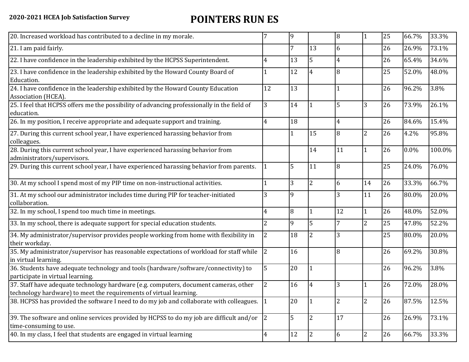## **2020-2021 HCEA Job Satisfaction Survey POINTERS RUN ES**

| 20. Increased workload has contributed to a decline in my morale.                                                                                          |                | 9  |                | $\overline{8}$ |                | 25 | 66.7%   | 33.3%  |
|------------------------------------------------------------------------------------------------------------------------------------------------------------|----------------|----|----------------|----------------|----------------|----|---------|--------|
| 21. I am paid fairly.                                                                                                                                      |                | 7  | 13             | 6              |                | 26 | 26.9%   | 73.1%  |
| 22. I have confidence in the leadership exhibited by the HCPSS Superintendent.                                                                             |                | 13 | 5              | 4              |                | 26 | 65.4%   | 34.6%  |
| 23. I have confidence in the leadership exhibited by the Howard County Board of<br>Education.                                                              |                | 12 | $\overline{4}$ | 8              |                | 25 | 52.0%   | 48.0%  |
| 24. I have confidence in the leadership exhibited by the Howard County Education<br>Association (HCEA).                                                    | 12             | 13 |                |                |                | 26 | 96.2%   | 3.8%   |
| 25. I feel that HCPSS offers me the possibility of advancing professionally in the field of<br>education.                                                  | 3              | 14 |                | 5              | 3              | 26 | 73.9%   | 26.1%  |
| 26. In my position, I receive appropriate and adequate support and training.                                                                               |                | 18 |                | 4              |                | 26 | 84.6%   | 15.4%  |
| 27. During this current school year, I have experienced harassing behavior from<br>colleagues.                                                             |                | 1  | 15             | 8              | $\overline{2}$ | 26 | 4.2%    | 95.8%  |
| 28. During this current school year, I have experienced harassing behavior from<br>administrators/supervisors.                                             |                |    | 14             | 11             | 1              | 26 | $0.0\%$ | 100.0% |
| 29. During this current school year, I have experienced harassing behavior from parents.                                                                   |                | 5  | 11             | 8              |                | 25 | 24.0%   | 76.0%  |
| 30. At my school I spend most of my PIP time on non-instructional activities.                                                                              |                | 3  | $\overline{2}$ | 6              | 14             | 26 | 33.3%   | 66.7%  |
| 31. At my school our administrator includes time during PIP for teacher-initiated<br>collaboration.                                                        |                | 9  |                | 3              | 11             | 26 | 80.0%   | 20.0%  |
| 32. In my school, I spend too much time in meetings.                                                                                                       | 4              | 8  |                | 12             | $\mathbf{1}$   | 26 | 48.0%   | 52.0%  |
| 33. In my school, there is adequate support for special education students.                                                                                | 2              | 9  | 5              |                | $\overline{2}$ | 25 | 47.8%   | 52.2%  |
| 34. My administrator/supervisor provides people working from home with flexibility in<br>their workday.                                                    | 2              | 18 | 2              | 3              |                | 25 | 80.0%   | 20.0%  |
| 35. My administrator/supervisor has reasonable expectations of workload for staff while<br>in virtual learning.                                            | $\overline{2}$ | 16 |                | 8              |                | 26 | 69.2%   | 30.8%  |
| 36. Students have adequate technology and tools (hardware/software/connectivity) to<br>participate in virtual learning.                                    | 5              | 20 |                |                |                | 26 | 96.2%   | 3.8%   |
| 37. Staff have adequate technology hardware (e.g. computers, document cameras, other<br>technology hardware) to meet the requirements of virtual learning. | 2              | 16 | 14             | 3              |                | 26 | 72.0%   | 28.0%  |
| 38. HCPSS has provided the software I need to do my job and collaborate with colleagues.                                                                   |                | 20 |                | 2              | $\overline{2}$ | 26 | 87.5%   | 12.5%  |
| 39. The software and online services provided by HCPSS to do my job are difficult and/or $\vert$ 2<br>time-consuming to use.                               |                | 5  | $\overline{2}$ | 17             |                | 26 | 26.9%   | 73.1%  |
| 40. In my class, I feel that students are engaged in virtual learning                                                                                      | 4              | 12 | 12             | 6              | $\overline{2}$ | 26 | 66.7%   | 33.3%  |